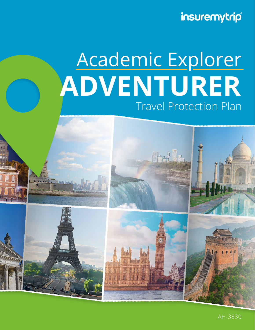insuremytrip®

# Travel Protection Plan **ADVENTURER** Academic Explorer

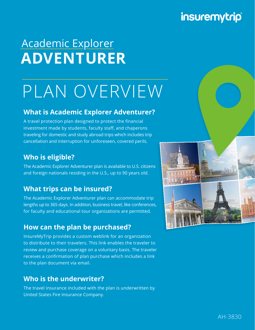## insuremytrip®

## Academic Explorer **ADVENTURER**

# PLAN OVERVIEW

#### **What is Academic Explorer Adventurer?**

A travel protection plan designed to protect the financial investment made by students, faculty staff, and chaperons traveling for domestic and study abroad trips which includes trip cancellation and interruption for unforeseen, covered perils.

#### **Who is eligible?**

The Academic Explorer Adventurer plan is available to U.S. citizens and foreign nationals residing in the U.S., up to 90 years old.

#### **What trips can be insured?**

The Academic Explorer Adventurer plan can accommodate trip lengths up to 365 days. In addition, business travel, like conferences, for faculty and educational tour organizations are permitted.

#### **How can the plan be purchased?**

InsureMyTrip provides a custom weblink for an organization to distribute to their travelers. This link enables the traveler to review and purchase coverage on a voluntary basis. The traveler receives a confirmation of plan purchase which includes a link to the plan document via email.

#### **Who is the underwriter?**

The travel insurance included with the plan is underwritten by United States Fire Insurance Company.

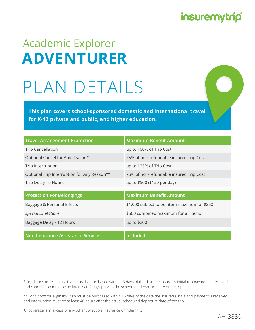### **insuremytrip**

## Academic Explorer **ADVENTURER**

# PLAN DETAILS

**This plan covers school-sponsored domestic and international travel for K-12 private and public, and higher education.**

| <b>Travel Arrangement Protection</b>        | <b>Maximum Benefit Amount</b>                |
|---------------------------------------------|----------------------------------------------|
| <b>Trip Cancellation</b>                    | up to 100% of Trip Cost                      |
| Optional Cancel for Any Reason*             | 75% of non-refundable insured Trip Cost      |
| Trip Interruption                           | up to 125% of Trip Cost                      |
| Optional Trip Interruption for Any Reason** | 75% of non-refundable insured Trip Cost      |
| Trip Delay - 6 Hours                        | up to \$500 (\$150 per day)                  |
|                                             |                                              |
| <b>Protection For Belongings</b>            | <b>Maximum Benefit Amount</b>                |
| Baggage & Personal Effects                  | \$1,000 subject to per item maximum of \$250 |
| <b>Special Limitations</b>                  | \$500 combined maximum for all items         |
| Baggage Delay - 12 Hours                    | up to \$200                                  |
|                                             |                                              |
| <b>Non-Insurance Assistance Services</b>    | <b>Included</b>                              |

\*Conditions for eligibility: Plan must be purchased within 15 days of the date the insured's initial trip payment is received, and cancellation must be no later than 2 days prior to the scheduled departure date of the trip.

\*\*Conditions for eligibility: Plan must be purchased within 15 days of the date the insured's initial trip payment is received, and interruption must be at least 48 hours after the actual scheduled departure date of the trip.

All coverage is in excess of any other collectible insurance or indemnity.